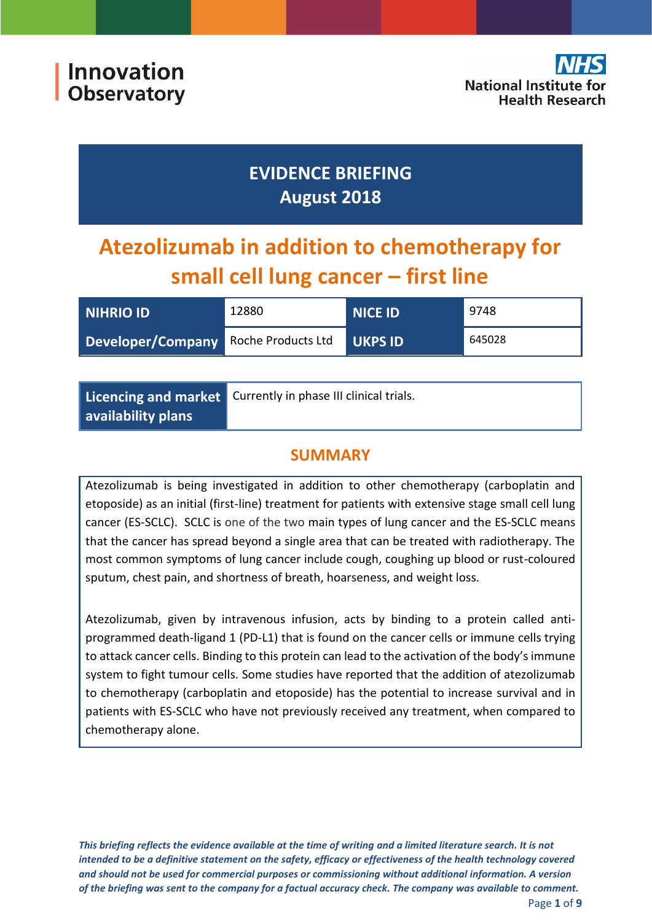## **EVIDENCE BRIEFING August 2018**

# **Atezolizumab in addition to chemotherapy for small cell lung cancer – first line**

| <b>NIHRIO ID</b>                     | 12880 | <b>NICE ID</b> | 9748   |
|--------------------------------------|-------|----------------|--------|
| Developer/Company Roche Products Ltd |       | <b>UKPS ID</b> | 645028 |

|                    | Licencing and market Currently in phase III clinical trials. |
|--------------------|--------------------------------------------------------------|
| availability plans |                                                              |

## **SUMMARY**

Atezolizumab is being investigated in addition to other chemotherapy (carboplatin and etoposide) as an initial (first-line) treatment for patients with extensive stage small cell lung cancer (ES-SCLC). SCLC is one of the two main types of lung cancer and the ES-SCLC means that the cancer has spread beyond a single area that can be treated with radiotherapy. The most common symptoms of lung cancer include cough, coughing up blood or rust-coloured sputum, chest pain, and shortness of breath, hoarseness, and weight loss.

Atezolizumab, given by intravenous infusion, acts by binding to a protein called antiprogrammed death-ligand 1 (PD-L1) that is found on the cancer cells or immune cells trying to attack cancer cells. Binding to this protein can lead to the activation of the body's immune system to fight tumour cells. Some studies have reported that the addition of atezolizumab to chemotherapy (carboplatin and etoposide) has the potential to increase survival and in patients with ES-SCLC who have not previously received any treatment, when compared to chemotherapy alone.

*This briefing reflects the evidence available at the time of writing and a limited literature search. It is not intended to be a definitive statement on the safety, efficacy or effectiveness of the health technology covered and should not be used for commercial purposes or commissioning without additional information. A version of the briefing was sent to the company for a factual accuracy check. The company was available to comment.*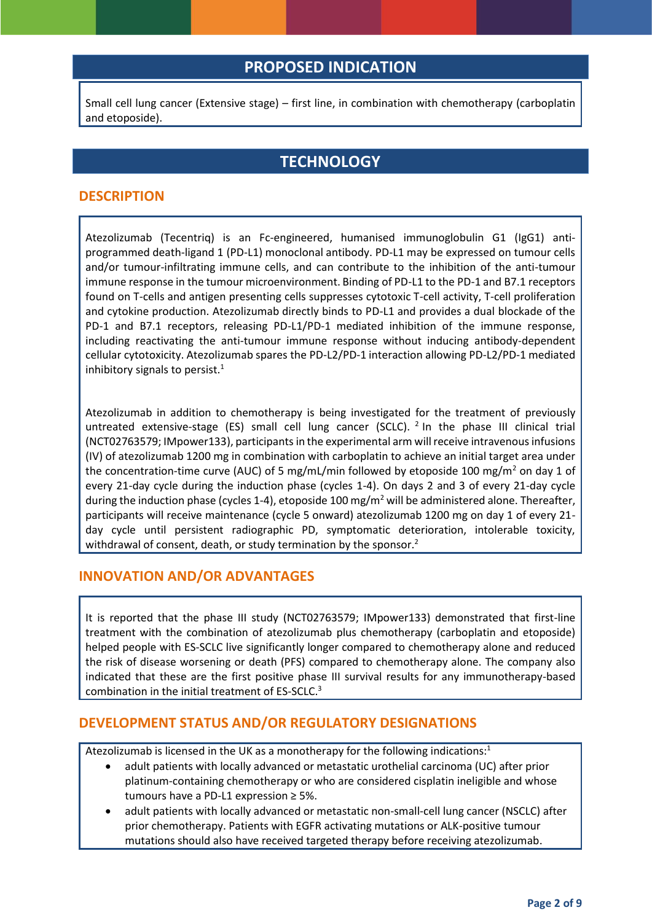## **PROPOSED INDICATION**

Small cell lung cancer (Extensive stage) – first line, in combination with chemotherapy (carboplatin and etoposide).

## <span id="page-1-0"></span>**TECHNOLOGY**

#### **DESCRIPTION**

Atezolizumab (Tecentriq) is an Fc-engineered, humanised immunoglobulin G1 (IgG1) antiprogrammed death-ligand 1 (PD-L1) monoclonal antibody. PD-L1 may be expressed on tumour cells and/or tumour-infiltrating immune cells, and can contribute to the inhibition of the anti-tumour immune response in the tumour microenvironment. Binding of PD-L1 to the PD-1 and B7.1 receptors found on T-cells and antigen presenting cells suppresses cytotoxic T-cell activity, T-cell proliferation and cytokine production. Atezolizumab directly binds to PD-L1 and provides a dual blockade of the PD-1 and B7.1 receptors, releasing PD-L1/PD-1 mediated inhibition of the immune response, including reactivating the anti-tumour immune response without inducing antibody-dependent cellular cytotoxicity. Atezolizumab spares the PD-L2/PD-1 interaction allowing PD-L2/PD-1 mediated inhibitory signals to persist.<sup>1</sup>

<span id="page-1-1"></span>Atezolizumab in addition to chemotherapy is being investigated for the treatment of previously untreated extensive-stage (ES) small cell lung cancer (SCLC). <sup>2</sup> In the phase III clinical trial (NCT02763579; IMpower133), participants in the experimental arm will receive intravenous infusions (IV) of atezolizumab 1200 mg in combination with carboplatin to achieve an initial target area under the concentration-time curve (AUC) of 5 mg/mL/min followed by etoposide 100 mg/m<sup>2</sup> on day 1 of every 21-day cycle during the induction phase (cycles 1-4). On days 2 and 3 of every 21-day cycle during the induction phase (cycles 1-4), etoposide 100 mg/m<sup>2</sup> will be administered alone. Thereafter, participants will receive maintenance (cycle 5 onward) atezolizumab 1200 mg on day 1 of every 21 day cycle until persistent radiographic PD, symptomatic deterioration, intolerable toxicity, withdrawal of consent, death, or study termination by the sponsor[.](#page-1-0)<sup>2</sup>

#### **INNOVATION AND/OR ADVANTAGES**

It is reported that the phase III study (NCT02763579; IMpower133) demonstrated that first-line treatment with the combination of atezolizumab plus chemotherapy (carboplatin and etoposide) helped people with ES-SCLC live significantly longer compared to chemotherapy alone and reduced the risk of disease worsening or death (PFS) compared to chemotherapy alone. The company also indicated that these are the first positive phase III survival results for any immunotherapy-based combination in the initial treatment of ES-SCLC.<sup>3</sup>

#### **DEVELOPMENT STATUS AND/OR REGULATORY DESIGNATIONS**

Atezolizumab is licensed in the UK as a monotherapy for the following indications[:](#page-1-1) $1$ 

- <span id="page-1-2"></span> adult patients with locally advanced or metastatic urothelial carcinoma (UC) after prior platinum-containing chemotherapy or who are considered cisplatin ineligible and whose tumours have a PD-L1 expression ≥ 5%.
- adult patients with locally advanced or metastatic non-small-cell lung cancer (NSCLC) after prior chemotherapy. Patients with EGFR activating mutations or ALK-positive tumour mutations should also have received targeted therapy before receiving atezolizumab.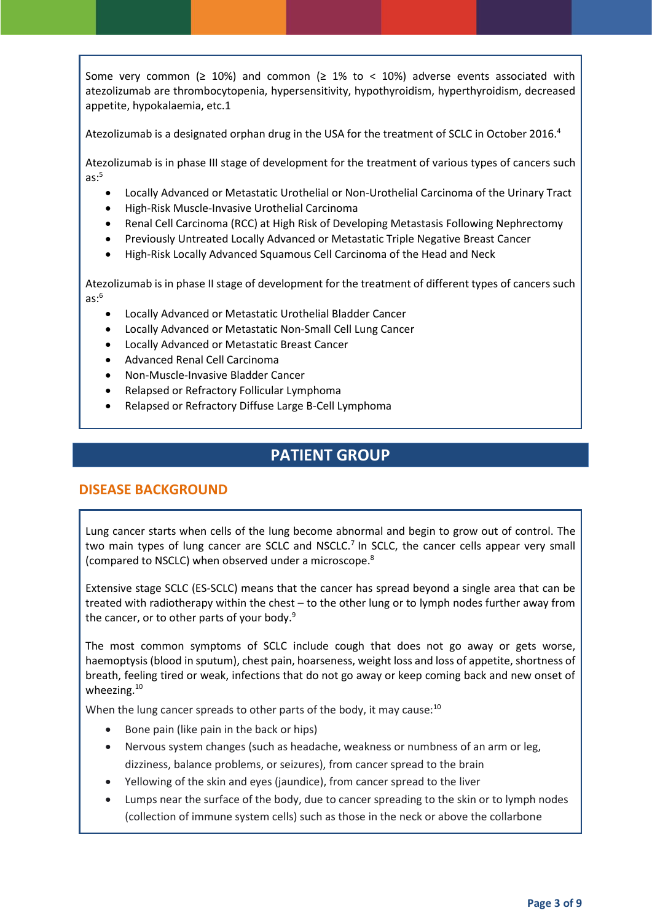Some very common ( $\geq 10\%$ ) and common ( $\geq 1\%$  to < 10%) adverse events associated with atezolizumab are thrombocytopenia, hypersensitivity, hypothyroidism, hyperthyroidism, decreased appetite, hypokalaemia, etc[.1](#page-1-1)

Atezolizumab is a designated orphan drug in the USA for the treatment of SCLC in October 2016.<sup>4</sup>

Atezolizumab is in phase III stage of development for the treatment of various types of cancers such  $as:5$ 

- Locally Advanced or Metastatic Urothelial or Non-Urothelial Carcinoma of the Urinary Tract
- High-Risk Muscle-Invasive Urothelial Carcinoma
- Renal Cell Carcinoma (RCC) at High Risk of Developing Metastasis Following Nephrectomy
- Previously Untreated Locally Advanced or Metastatic Triple Negative Breast Cancer
- High-Risk Locally Advanced Squamous Cell Carcinoma of the Head and Neck

Atezolizumab is in phase II stage of development for the treatment of different types of cancers such  $as: 6$ 

- Locally Advanced or Metastatic Urothelial Bladder Cancer
- Locally Advanced or Metastatic Non-Small Cell Lung Cancer
- Locally Advanced or Metastatic Breast Cancer
- Advanced Renal Cell Carcinoma
- Non-Muscle-Invasive Bladder Cancer
- Relapsed or Refractory Follicular Lymphoma
- Relapsed or Refractory Diffuse Large B-Cell Lymphoma

## <span id="page-2-1"></span>**PATIENT GROUP**

#### **DISEASE BACKGROUND**

Lung cancer starts when cells of the lung become abnormal and begin to grow out of control. The two main types of lung cancer are SCLC and NSCLC.<sup>7</sup> In SCLC, the cancer cells appear very small (compared to NSCLC) when observed under a microscope. 8

Extensive stage SCLC (ES-SCLC) means that the cancer has spread beyond a single area that can be treated with radiotherapy within the chest – to the other lung or to lymph nodes further away from the cancer, or to other parts of your body.<sup>9</sup>

The most common symptoms of SCLC include cough that does not go away or gets worse, haemoptysis (blood in sputum), chest pain, hoarseness, weight loss and loss of appetite, shortness of breath, feeling tired or weak, infections that do not go away or keep coming back and new onset of wheezing.<sup>10</sup>

When the lung cancer spreads to other parts of the body, it may cause:<sup>[10](#page-2-0)</sup>

- <span id="page-2-0"></span>Bone pain (like pain in the back or hips)
- Nervous system changes (such as headache, weakness or numbness of an arm or leg, dizziness, balance problems, or seizures), from cancer spread to the brain
- Yellowing of the skin and eyes (jaundice), from cancer spread to the liver
- Lumps near the surface of the body, due to cancer spreading to the skin or to lymph nodes (collection of immune system cells) such as those in the neck or above the collarbone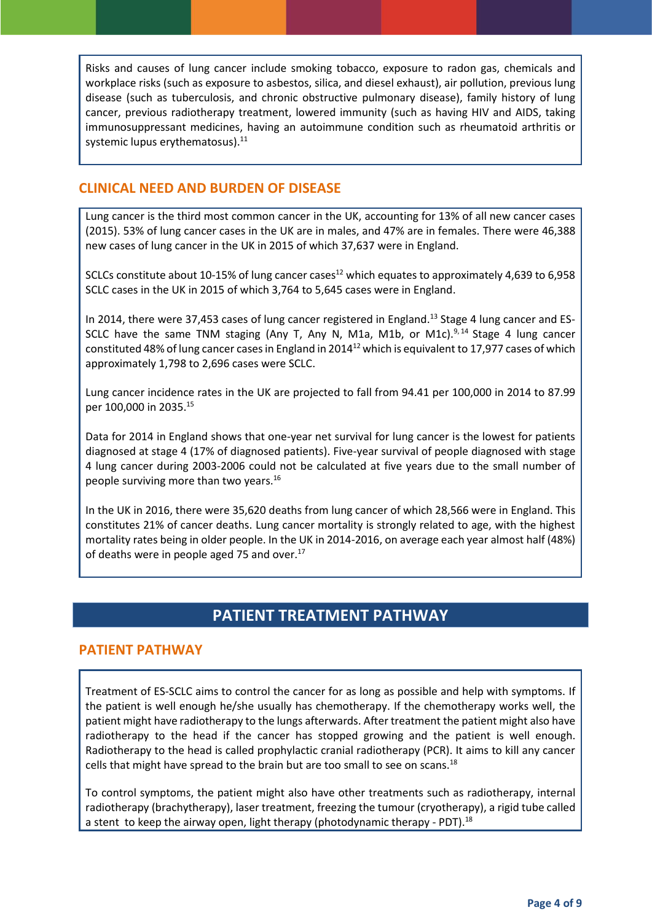Risks and causes of lung cancer include smoking tobacco, exposure to radon gas, chemicals and workplace risks (such as exposure to asbestos, silica, and diesel exhaust), air pollution, previous lung disease (such as tuberculosis, and chronic obstructive pulmonary disease), family history of lung cancer, previous radiotherapy treatment, lowered immunity (such as having HIV and AIDS, taking immunosuppressant medicines, having an autoimmune condition such as rheumatoid arthritis or systemic lupus erythematosus).<sup>11</sup>

#### **CLINICAL NEED AND BURDEN OF DISEASE**

Lung cancer is the third most common cancer in the UK, accounting for 13% of all new cancer cases (2015). 53% of lung cancer cases in the UK are in males, and 47% are in females. There were 46,388 new cases of lung cancer in the UK in 2015 of which 37,637 were in England.

<span id="page-3-0"></span>SCLCs constitute about 10-15% of lung cancer cases<sup>12</sup> which equates to approximately 4,639 to 6,958 SCLC cases in the UK in 2015 of which 3,764 to 5,645 cases were in England.

In 2014, there were 37,453 cases of lung cancer registered in England.<sup>13</sup> Stage 4 lung cancer and ES-SCLC have the same TNM staging (Any T, Any N, M1a, M1b, or M1c).<sup>[9,](#page-2-1)14</sup> Stage 4 lung cancer constituted 48% of lung cancer cases in England in 2014[12](#page-3-0) which is equivalent to 17,977 cases of which approximately 1,798 to 2,696 cases were SCLC.

Lung cancer incidence rates in the UK are projected to fall from 94.41 per 100,000 in 2014 to 87.99 per 100,000 in 2035.<sup>15</sup>

Data for 2014 in England shows that one-year net survival for lung cancer is the lowest for patients diagnosed at stage 4 (17% of diagnosed patients). Five-year survival of people diagnosed with stage 4 lung cancer during 2003-2006 could not be calculated at five years due to the small number of people surviving more than two years.<sup>16</sup>

In the UK in 2016, there were 35,620 deaths from lung cancer of which 28,566 were in England. This constitutes 21% of cancer deaths. Lung cancer mortality is strongly related to age, with the highest mortality rates being in older people. In the UK in 2014-2016, on average each year almost half (48%) of deaths were in people aged 75 and over.<sup>17</sup>

## <span id="page-3-1"></span>**PATIENT TREATMENT PATHWAY**

#### **PATIENT PATHWAY**

Treatment of ES-SCLC aims to control the cancer for as long as possible and help with symptoms. If the patient is well enough he/she usually has chemotherapy. If the chemotherapy works well, the patient might have radiotherapy to the lungs afterwards. After treatment the patient might also have radiotherapy to the head if the cancer has stopped growing and the patient is well enough. Radiotherapy to the head is called prophylactic cranial radiotherapy (PCR). It aims to kill any cancer cells that might have spread to the brain but are too small to see on scans.<sup>18</sup>

To control symptoms, the patient might also have other treatments such as radiotherapy, internal radiotherapy (brachytherapy), laser treatment, freezing the tumour (cryotherapy), a rigid tube called a stent to keep the airway open, light therapy (photodynamic therapy - PDT).<sup>[18](#page-3-1)</sup>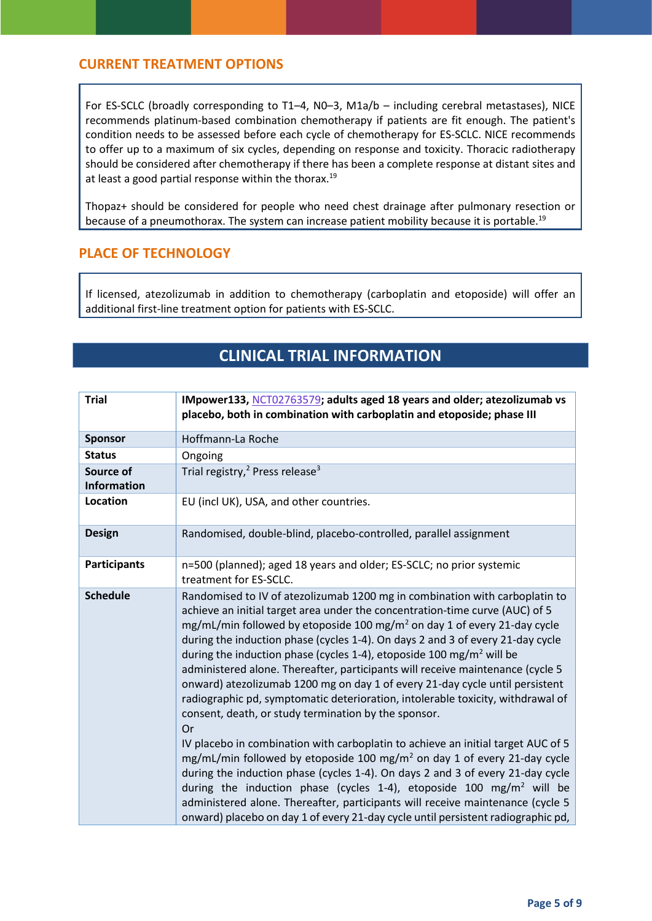#### **CURRENT TREATMENT OPTIONS**

For ES-SCLC (broadly corresponding to T1–4, N0–3, M1a/b – including cerebral metastases), NICE recommends platinum-based combination chemotherapy if patients are fit enough. The patient's condition needs to be assessed before each cycle of chemotherapy for ES-SCLC. NICE recommends to offer up to a maximum of six cycles, depending on response and toxicity. Thoracic radiotherapy should be considered after chemotherapy if there has been a complete response at distant sites and at least a good partial response within the thorax.<sup>19</sup>

Thopaz+ should be considered for people who need chest drainage after pulmonary resection or because of a pneumothorax. The system can increase patient mobility because it is portable.<sup>[19](#page-4-0)</sup>

#### **PLACE OF TECHNOLOGY**

If licensed, atezolizumab in addition to chemotherapy (carboplatin and etoposide) will offer an additional first-line treatment option for patients with ES-SCLC.

## <span id="page-4-0"></span>**CLINICAL TRIAL INFORMATION**

| <b>Trial</b>                    | IMpower133, NCT02763579; adults aged 18 years and older; atezolizumab vs<br>placebo, both in combination with carboplatin and etoposide; phase III                                                                                                                                                                                                                                                                                                                                                                                                                                                                                                                                                                                                                                                                                                                                                                                                                                                                                                                                                                                                                                                                                                                   |
|---------------------------------|----------------------------------------------------------------------------------------------------------------------------------------------------------------------------------------------------------------------------------------------------------------------------------------------------------------------------------------------------------------------------------------------------------------------------------------------------------------------------------------------------------------------------------------------------------------------------------------------------------------------------------------------------------------------------------------------------------------------------------------------------------------------------------------------------------------------------------------------------------------------------------------------------------------------------------------------------------------------------------------------------------------------------------------------------------------------------------------------------------------------------------------------------------------------------------------------------------------------------------------------------------------------|
| <b>Sponsor</b>                  | Hoffmann-La Roche                                                                                                                                                                                                                                                                                                                                                                                                                                                                                                                                                                                                                                                                                                                                                                                                                                                                                                                                                                                                                                                                                                                                                                                                                                                    |
| <b>Status</b>                   | Ongoing                                                                                                                                                                                                                                                                                                                                                                                                                                                                                                                                                                                                                                                                                                                                                                                                                                                                                                                                                                                                                                                                                                                                                                                                                                                              |
| Source of<br><b>Information</b> | Trial registry, <sup>2</sup> Press release <sup>3</sup>                                                                                                                                                                                                                                                                                                                                                                                                                                                                                                                                                                                                                                                                                                                                                                                                                                                                                                                                                                                                                                                                                                                                                                                                              |
| Location                        | EU (incl UK), USA, and other countries.                                                                                                                                                                                                                                                                                                                                                                                                                                                                                                                                                                                                                                                                                                                                                                                                                                                                                                                                                                                                                                                                                                                                                                                                                              |
| <b>Design</b>                   | Randomised, double-blind, placebo-controlled, parallel assignment                                                                                                                                                                                                                                                                                                                                                                                                                                                                                                                                                                                                                                                                                                                                                                                                                                                                                                                                                                                                                                                                                                                                                                                                    |
| <b>Participants</b>             | n=500 (planned); aged 18 years and older; ES-SCLC; no prior systemic<br>treatment for ES-SCLC.                                                                                                                                                                                                                                                                                                                                                                                                                                                                                                                                                                                                                                                                                                                                                                                                                                                                                                                                                                                                                                                                                                                                                                       |
| <b>Schedule</b>                 | Randomised to IV of atezolizumab 1200 mg in combination with carboplatin to<br>achieve an initial target area under the concentration-time curve (AUC) of 5<br>mg/mL/min followed by etoposide 100 mg/m <sup>2</sup> on day 1 of every 21-day cycle<br>during the induction phase (cycles 1-4). On days 2 and 3 of every 21-day cycle<br>during the induction phase (cycles 1-4), etoposide 100 mg/m <sup>2</sup> will be<br>administered alone. Thereafter, participants will receive maintenance (cycle 5<br>onward) atezolizumab 1200 mg on day 1 of every 21-day cycle until persistent<br>radiographic pd, symptomatic deterioration, intolerable toxicity, withdrawal of<br>consent, death, or study termination by the sponsor.<br>Or<br>IV placebo in combination with carboplatin to achieve an initial target AUC of 5<br>mg/mL/min followed by etoposide 100 mg/m <sup>2</sup> on day 1 of every 21-day cycle<br>during the induction phase (cycles 1-4). On days 2 and 3 of every 21-day cycle<br>during the induction phase (cycles 1-4), etoposide 100 mg/m <sup>2</sup> will be<br>administered alone. Thereafter, participants will receive maintenance (cycle 5<br>onward) placebo on day 1 of every 21-day cycle until persistent radiographic pd, |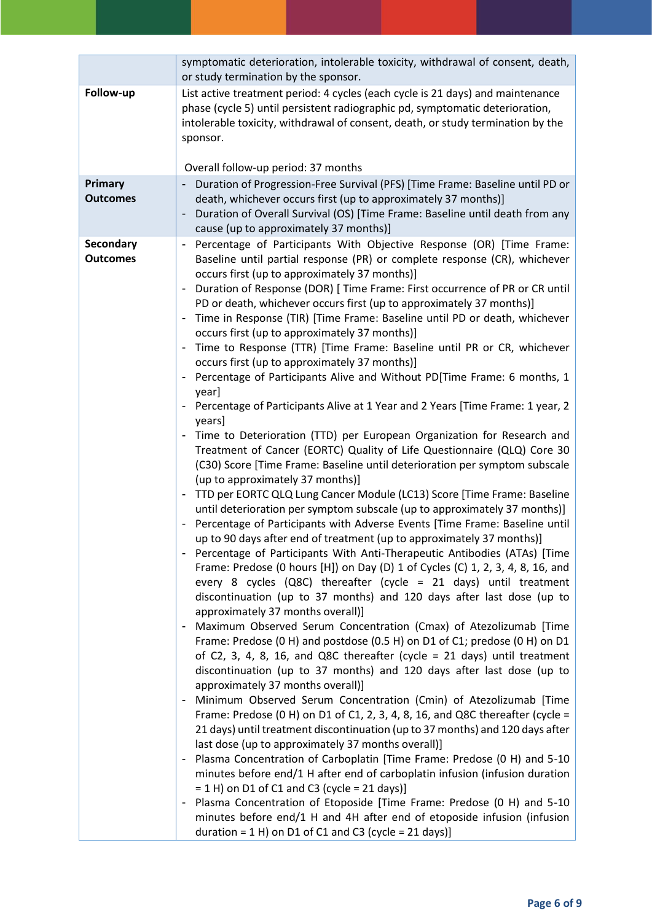|                              | symptomatic deterioration, intolerable toxicity, withdrawal of consent, death,<br>or study termination by the sponsor.                                                                                                                                                                                                                                                                                                                                                                                                                                                                                                                                                                                                                                                                                                                                                                                                                                                                                                                                                                                                                                                                                                                                                                                                                                                                                                                                                                                                                                                                                                                                                                                                                                                                                                                                                                                                                                                                                                                                                                                                                                                                                                                                                                                                                                                                                                                                                                                                                                                                                                                                                                                                                                                                                              |
|------------------------------|---------------------------------------------------------------------------------------------------------------------------------------------------------------------------------------------------------------------------------------------------------------------------------------------------------------------------------------------------------------------------------------------------------------------------------------------------------------------------------------------------------------------------------------------------------------------------------------------------------------------------------------------------------------------------------------------------------------------------------------------------------------------------------------------------------------------------------------------------------------------------------------------------------------------------------------------------------------------------------------------------------------------------------------------------------------------------------------------------------------------------------------------------------------------------------------------------------------------------------------------------------------------------------------------------------------------------------------------------------------------------------------------------------------------------------------------------------------------------------------------------------------------------------------------------------------------------------------------------------------------------------------------------------------------------------------------------------------------------------------------------------------------------------------------------------------------------------------------------------------------------------------------------------------------------------------------------------------------------------------------------------------------------------------------------------------------------------------------------------------------------------------------------------------------------------------------------------------------------------------------------------------------------------------------------------------------------------------------------------------------------------------------------------------------------------------------------------------------------------------------------------------------------------------------------------------------------------------------------------------------------------------------------------------------------------------------------------------------------------------------------------------------------------------------------------------------|
| Follow-up                    | List active treatment period: 4 cycles (each cycle is 21 days) and maintenance<br>phase (cycle 5) until persistent radiographic pd, symptomatic deterioration,<br>intolerable toxicity, withdrawal of consent, death, or study termination by the<br>sponsor.                                                                                                                                                                                                                                                                                                                                                                                                                                                                                                                                                                                                                                                                                                                                                                                                                                                                                                                                                                                                                                                                                                                                                                                                                                                                                                                                                                                                                                                                                                                                                                                                                                                                                                                                                                                                                                                                                                                                                                                                                                                                                                                                                                                                                                                                                                                                                                                                                                                                                                                                                       |
|                              | Overall follow-up period: 37 months                                                                                                                                                                                                                                                                                                                                                                                                                                                                                                                                                                                                                                                                                                                                                                                                                                                                                                                                                                                                                                                                                                                                                                                                                                                                                                                                                                                                                                                                                                                                                                                                                                                                                                                                                                                                                                                                                                                                                                                                                                                                                                                                                                                                                                                                                                                                                                                                                                                                                                                                                                                                                                                                                                                                                                                 |
| Primary<br><b>Outcomes</b>   | Duration of Progression-Free Survival (PFS) [Time Frame: Baseline until PD or<br>death, whichever occurs first (up to approximately 37 months)]<br>Duration of Overall Survival (OS) [Time Frame: Baseline until death from any<br>cause (up to approximately 37 months)]                                                                                                                                                                                                                                                                                                                                                                                                                                                                                                                                                                                                                                                                                                                                                                                                                                                                                                                                                                                                                                                                                                                                                                                                                                                                                                                                                                                                                                                                                                                                                                                                                                                                                                                                                                                                                                                                                                                                                                                                                                                                                                                                                                                                                                                                                                                                                                                                                                                                                                                                           |
| Secondary<br><b>Outcomes</b> | Percentage of Participants With Objective Response (OR) [Time Frame:<br>Baseline until partial response (PR) or complete response (CR), whichever<br>occurs first (up to approximately 37 months)]<br>Duration of Response (DOR) [ Time Frame: First occurrence of PR or CR until<br>PD or death, whichever occurs first (up to approximately 37 months)]<br>Time in Response (TIR) [Time Frame: Baseline until PD or death, whichever<br>occurs first (up to approximately 37 months)]<br>Time to Response (TTR) [Time Frame: Baseline until PR or CR, whichever<br>occurs first (up to approximately 37 months)]<br>Percentage of Participants Alive and Without PD[Time Frame: 6 months, 1<br>year]<br>Percentage of Participants Alive at 1 Year and 2 Years [Time Frame: 1 year, 2<br>years]<br>Time to Deterioration (TTD) per European Organization for Research and<br>Treatment of Cancer (EORTC) Quality of Life Questionnaire (QLQ) Core 30<br>(C30) Score [Time Frame: Baseline until deterioration per symptom subscale<br>(up to approximately 37 months)]<br>TTD per EORTC QLQ Lung Cancer Module (LC13) Score [Time Frame: Baseline<br>until deterioration per symptom subscale (up to approximately 37 months)]<br>Percentage of Participants with Adverse Events [Time Frame: Baseline until<br>up to 90 days after end of treatment (up to approximately 37 months)]<br>Percentage of Participants With Anti-Therapeutic Antibodies (ATAs) [Time<br>Frame: Predose (0 hours [H]) on Day (D) 1 of Cycles (C) 1, 2, 3, 4, 8, 16, and<br>every 8 cycles (Q8C) thereafter (cycle = 21 days) until treatment<br>discontinuation (up to 37 months) and 120 days after last dose (up to<br>approximately 37 months overall)]<br>Maximum Observed Serum Concentration (Cmax) of Atezolizumab [Time<br>Frame: Predose (0 H) and postdose (0.5 H) on D1 of C1; predose (0 H) on D1<br>of C2, 3, 4, 8, 16, and Q8C thereafter (cycle = $21$ days) until treatment<br>discontinuation (up to 37 months) and 120 days after last dose (up to<br>approximately 37 months overall)]<br>Minimum Observed Serum Concentration (Cmin) of Atezolizumab [Time<br>Frame: Predose (0 H) on D1 of C1, 2, 3, 4, 8, 16, and Q8C thereafter (cycle =<br>21 days) until treatment discontinuation (up to 37 months) and 120 days after<br>last dose (up to approximately 37 months overall)]<br>Plasma Concentration of Carboplatin [Time Frame: Predose (0 H) and 5-10<br>minutes before end/1 H after end of carboplatin infusion (infusion duration<br>$= 1$ H) on D1 of C1 and C3 (cycle $= 21$ days)]<br>Plasma Concentration of Etoposide [Time Frame: Predose (0 H) and 5-10<br>minutes before end/1 H and 4H after end of etoposide infusion (infusion<br>duration = $1$ H) on D1 of C1 and C3 (cycle = $21$ days)] |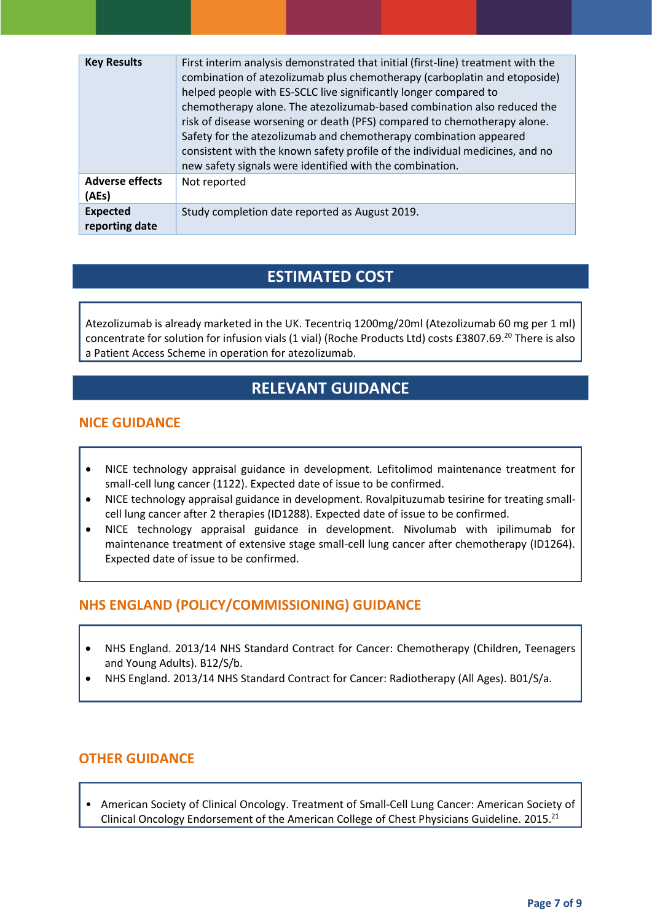| <b>Key Results</b>                | First interim analysis demonstrated that initial (first-line) treatment with the<br>combination of atezolizumab plus chemotherapy (carboplatin and etoposide)<br>helped people with ES-SCLC live significantly longer compared to<br>chemotherapy alone. The atezolizumab-based combination also reduced the<br>risk of disease worsening or death (PFS) compared to chemotherapy alone.<br>Safety for the atezolizumab and chemotherapy combination appeared<br>consistent with the known safety profile of the individual medicines, and no<br>new safety signals were identified with the combination. |
|-----------------------------------|-----------------------------------------------------------------------------------------------------------------------------------------------------------------------------------------------------------------------------------------------------------------------------------------------------------------------------------------------------------------------------------------------------------------------------------------------------------------------------------------------------------------------------------------------------------------------------------------------------------|
| <b>Adverse effects</b><br>(AEs)   | Not reported                                                                                                                                                                                                                                                                                                                                                                                                                                                                                                                                                                                              |
| <b>Expected</b><br>reporting date | Study completion date reported as August 2019.                                                                                                                                                                                                                                                                                                                                                                                                                                                                                                                                                            |

## **ESTIMATED COST**

Atezolizumab is already marketed in the UK. Tecentriq 1200mg/20ml (Atezolizumab 60 mg per 1 ml) concentrate for solution for infusion vials (1 vial) (Roche Products Ltd) costs £3807.69.<sup>20</sup> There is also a Patient Access Scheme in operation for atezolizumab.

## **RELEVANT GUIDANCE**

#### **NICE GUIDANCE**

- NICE technology appraisal guidance in development. Lefitolimod maintenance treatment for small-cell lung cancer (1122). Expected date of issue to be confirmed.
- NICE technology appraisal guidance in development. Rovalpituzumab tesirine for treating smallcell lung cancer after 2 therapies (ID1288). Expected date of issue to be confirmed.
- NICE technology appraisal guidance in development. Nivolumab with ipilimumab for maintenance treatment of extensive stage small-cell lung cancer after chemotherapy (ID1264). Expected date of issue to be confirmed.

## **NHS ENGLAND (POLICY/COMMISSIONING) GUIDANCE**

- NHS England. 2013/14 NHS Standard Contract for Cancer: Chemotherapy (Children, Teenagers and Young Adults). B12/S/b.
- NHS England. 2013/14 NHS Standard Contract for Cancer: Radiotherapy (All Ages). B01/S/a.

## **OTHER GUIDANCE**

• American Society of Clinical Oncology. Treatment of Small‐Cell Lung Cancer: American Society of Clinical Oncology Endorsement of the American College of Chest Physicians Guideline. 2015.<sup>21</sup>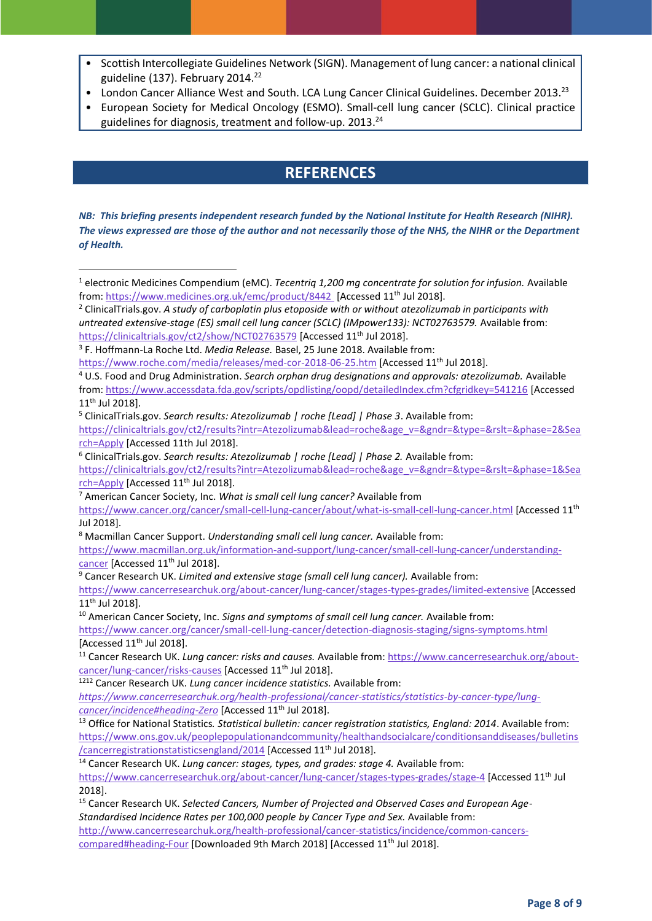- Scottish Intercollegiate Guidelines Network (SIGN). Management of lung cancer: a national clinical guideline (137). February 2014.<sup>22</sup>
- London Cancer Alliance West and South. LCA Lung Cancer Clinical Guidelines. December 2013.<sup>23</sup>
- European Society for Medical Oncology (ESMO). Small‐cell lung cancer (SCLC). Clinical practice guidelines for diagnosis, treatment and follow-up. 2013.<sup>24</sup>

## **REFERENCES**

*NB: This briefing presents independent research funded by the National Institute for Health Research (NIHR). The views expressed are those of the author and not necessarily those of the NHS, the NIHR or the Department of Health.*

1

<sup>6</sup> ClinicalTrials.gov. *Search results: Atezolizumab | roche [Lead] | Phase 2.* Available from:

<sup>7</sup> American Cancer Society, Inc. *What is small cell lung cancer?* Available from

<sup>8</sup> Macmillan Cancer Support. *Understanding small cell lung cancer.* Available from:

[https://www.macmillan.org.uk/information-and-support/lung-cancer/small-cell-lung-cancer/understanding](https://www.macmillan.org.uk/information-and-support/lung-cancer/small-cell-lung-cancer/understanding-cancer)[cancer](https://www.macmillan.org.uk/information-and-support/lung-cancer/small-cell-lung-cancer/understanding-cancer) [Accessed 11<sup>th</sup> Jul 2018].

<sup>9</sup> Cancer Research UK. *Limited and extensive stage (small cell lung cancer).* Available from:

<sup>10</sup> American Cancer Society, Inc. *Signs and symptoms of small cell lung cancer*. Available from:

<https://www.cancer.org/cancer/small-cell-lung-cancer/detection-diagnosis-staging/signs-symptoms.html> [Accessed  $11<sup>th</sup>$  Jul 2018].

<sup>11</sup> Cancer Research UK. *Lung cancer: risks and causes.* Available from: [https://www.cancerresearchuk.org/about](https://www.cancerresearchuk.org/about-cancer/lung-cancer/risks-causes)[cancer/lung-cancer/risks-causes](https://www.cancerresearchuk.org/about-cancer/lung-cancer/risks-causes) [Accessed 11<sup>th</sup> Jul 2018].

*[https://www.cancerresearchuk.org/health-professional/cancer-statistics/statistics-by-cancer-type/lung](https://www.cancerresearchuk.org/health-professional/cancer-statistics/statistics-by-cancer-type/lung-cancer/incidence#heading-Zero)[cancer/incidence#heading-Zero](https://www.cancerresearchuk.org/health-professional/cancer-statistics/statistics-by-cancer-type/lung-cancer/incidence#heading-Zero)* [Accessed 11th Jul 2018].

<sup>13</sup> Office for National Statistics*. Statistical bulletin: cancer registration statistics, England: 2014*. Available from: [https://www.ons.gov.uk/peoplepopulationandcommunity/healthandsocialcare/conditionsanddiseases/bulletins](https://www.ons.gov.uk/peoplepopulationandcommunity/healthandsocialcare/conditionsanddiseases/bulletins/cancerregistrationstatisticsengland/2014) [/cancerregistrationstatisticsengland/2014](https://www.ons.gov.uk/peoplepopulationandcommunity/healthandsocialcare/conditionsanddiseases/bulletins/cancerregistrationstatisticsengland/2014) [Accessed 11<sup>th</sup> Jul 2018].

<sup>14</sup> Cancer Research UK. *Lung cancer: stages, types, and grades: stage 4.* Available from: <https://www.cancerresearchuk.org/about-cancer/lung-cancer/stages-types-grades/stage-4> [Accessed 11th Jul 2018].

<sup>15</sup> Cancer Research UK. *Selected Cancers, Number of Projected and Observed Cases and European Age-Standardised Incidence Rates per 100,000 people by Cancer Type and Sex.* Available from: [http://www.cancerresearchuk.org/health-professional/cancer-statistics/incidence/common-cancers](http://www.cancerresearchuk.org/health-professional/cancer-statistics/incidence/common-cancers-compared#heading-Four)[compared#heading-Four](http://www.cancerresearchuk.org/health-professional/cancer-statistics/incidence/common-cancers-compared#heading-Four) [Downloaded 9th March 2018] [Accessed 11<sup>th</sup> Jul 2018].

<sup>1</sup> electronic Medicines Compendium (eMC). *Tecentriq 1,200 mg concentrate for solution for infusion.* Available from[: https://www.medicines.org.uk/emc/product/8442](https://www.medicines.org.uk/emc/product/8442) [Accessed 11<sup>th</sup> Jul 2018].

<sup>2</sup> ClinicalTrials.gov. *A study of carboplatin plus etoposide with or without atezolizumab in participants with untreated extensive-stage (ES) small cell lung cancer (SCLC) (IMpower133): NCT02763579.* Available from: <https://clinicaltrials.gov/ct2/show/NCT02763579> [Accessed 11<sup>th</sup> Jul 2018].

<sup>3</sup> F. Hoffmann-La Roche Ltd. *Media Release.* Basel, 25 June 2018. Available from:

<https://www.roche.com/media/releases/med-cor-2018-06-25.htm> [Accessed 11<sup>th</sup> Jul 2018].

<sup>4</sup> U.S. Food and Drug Administration. *Search orphan drug designations and approvals: atezolizumab.* Available from: <https://www.accessdata.fda.gov/scripts/opdlisting/oopd/detailedIndex.cfm?cfgridkey=541216> [Accessed 11th Jul 2018].

<sup>5</sup> ClinicalTrials.gov. *Search results: Atezolizumab | roche [Lead] | Phase 3*. Available from:

[https://clinicaltrials.gov/ct2/results?intr=Atezolizumab&lead=roche&age\\_v=&gndr=&type=&rslt=&phase=2&Sea](https://clinicaltrials.gov/ct2/results?intr=Atezolizumab&lead=roche&age_v=&gndr=&type=&rslt=&phase=2&Search=Apply) [rch=Apply](https://clinicaltrials.gov/ct2/results?intr=Atezolizumab&lead=roche&age_v=&gndr=&type=&rslt=&phase=2&Search=Apply) [Accessed 11th Jul 2018].

[https://clinicaltrials.gov/ct2/results?intr=Atezolizumab&lead=roche&age\\_v=&gndr=&type=&rslt=&phase=1&Sea](https://clinicaltrials.gov/ct2/results?intr=Atezolizumab&lead=roche&age_v=&gndr=&type=&rslt=&phase=1&Search=Apply) [rch=Apply](https://clinicaltrials.gov/ct2/results?intr=Atezolizumab&lead=roche&age_v=&gndr=&type=&rslt=&phase=1&Search=Apply) [Accessed 11<sup>th</sup> Jul 2018].

<https://www.cancer.org/cancer/small-cell-lung-cancer/about/what-is-small-cell-lung-cancer.html> [Accessed 11th Jul 2018].

<https://www.cancerresearchuk.org/about-cancer/lung-cancer/stages-types-grades/limited-extensive> [Accessed 11th Jul 2018].

<sup>1212</sup> Cancer Research UK. *Lung cancer incidence statistics.* Available from: